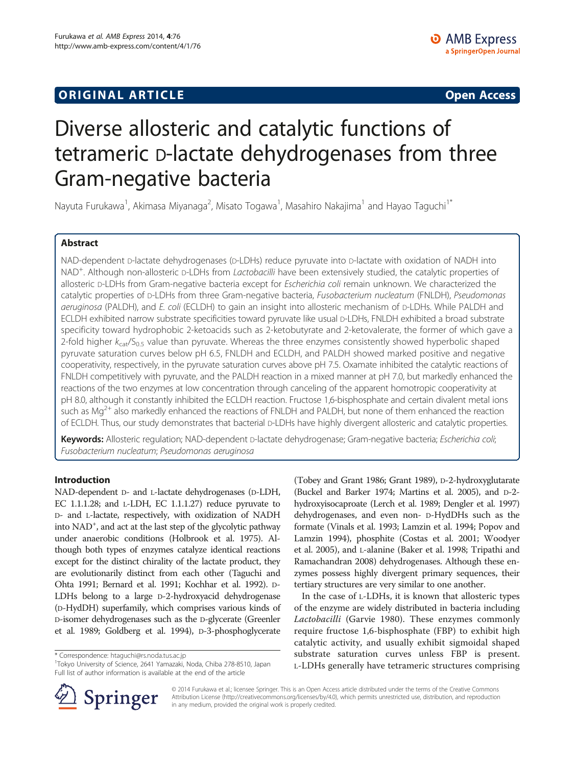## **ORIGINAL ARTICLE CONSUMING A LIGACION** CONSUMING A LIGACION CONSUMING A LIGACION CONSUMING A LIGACION CONSUMING A LIGACION CONSUMING A LIGACION CONSUMING A LIGACION CONSUMING A LIGACION CONSUMING A LIGACION CONSUMING A

# Diverse allosteric and catalytic functions of tetrameric D-lactate dehydrogenases from three Gram-negative bacteria

Nayuta Furukawa<sup>1</sup>, Akimasa Miyanaga<sup>2</sup>, Misato Togawa<sup>1</sup>, Masahiro Nakajima<sup>1</sup> and Hayao Taguchi<sup>1\*</sup>

## Abstract

NAD-dependent D-lactate dehydrogenases (D-LDHs) reduce pyruvate into D-lactate with oxidation of NADH into NAD<sup>+</sup>. Although non-allosteric D-LDHs from Lactobacilli have been extensively studied, the catalytic properties of allosteric D-LDHs from Gram-negative bacteria except for Escherichia coli remain unknown. We characterized the catalytic properties of D-LDHs from three Gram-negative bacteria, Fusobacterium nucleatum (FNLDH), Pseudomonas aeruginosa (PALDH), and E. coli (ECLDH) to gain an insight into allosteric mechanism of D-LDHs. While PALDH and ECLDH exhibited narrow substrate specificities toward pyruvate like usual D-LDHs, FNLDH exhibited a broad substrate specificity toward hydrophobic 2-ketoacids such as 2-ketobutyrate and 2-ketovalerate, the former of which gave a 2-fold higher  $k_{cat}/S_{0.5}$  value than pyruvate. Whereas the three enzymes consistently showed hyperbolic shaped pyruvate saturation curves below pH 6.5, FNLDH and ECLDH, and PALDH showed marked positive and negative cooperativity, respectively, in the pyruvate saturation curves above pH 7.5. Oxamate inhibited the catalytic reactions of FNLDH competitively with pyruvate, and the PALDH reaction in a mixed manner at pH 7.0, but markedly enhanced the reactions of the two enzymes at low concentration through canceling of the apparent homotropic cooperativity at pH 8.0, although it constantly inhibited the ECLDH reaction. Fructose 1,6-bisphosphate and certain divalent metal ions such as Mg<sup>2+</sup> also markedly enhanced the reactions of FNLDH and PALDH, but none of them enhanced the reaction of ECLDH. Thus, our study demonstrates that bacterial D-LDHs have highly divergent allosteric and catalytic properties.

Keywords: Allosteric regulation; NAD-dependent D-lactate dehydrogenase; Gram-negative bacteria; Escherichia coli; Fusobacterium nucleatum; Pseudomonas aeruginosa

## Introduction

NAD-dependent D- and L-lactate dehydrogenases (D-LDH, EC 1.1.1.28; and L-LDH, EC 1.1.1.27) reduce pyruvate to D- and L-lactate, respectively, with oxidization of NADH into NAD<sup>+</sup>, and act at the last step of the glycolytic pathway under anaerobic conditions (Holbrook et al. [1975](#page-10-0)). Although both types of enzymes catalyze identical reactions except for the distinct chirality of the lactate product, they are evolutionarily distinct from each other (Taguchi and Ohta [1991;](#page-11-0) Bernard et al. [1991](#page-10-0); Kochhar et al. [1992](#page-10-0)). D-LDHs belong to a large D-2-hydroxyacid dehydrogenase (D-HydDH) superfamily, which comprises various kinds of D-isomer dehydrogenases such as the D-glycerate (Greenler et al. [1989;](#page-10-0) Goldberg et al. [1994\)](#page-10-0), D-3-phosphoglycerate

\* Correspondence: [htaguchi@rs.noda.tus.ac.jp](mailto:htaguchi@rs.noda.tus.ac.jp) <sup>1</sup>

<sup>1</sup>Tokyo University of Science, 2641 Yamazaki, Noda, Chiba 278-8510, Japan Full list of author information is available at the end of the article

(Tobey and Grant [1986](#page-11-0); Grant [1989](#page-10-0)), D-2-hydroxyglutarate (Buckel and Barker [1974](#page-10-0); Martins et al. [2005\)](#page-11-0), and D-2 hydroxyisocaproate (Lerch et al. [1989](#page-11-0); Dengler et al. [1997](#page-10-0)) dehydrogenases, and even non- D-HydDHs such as the formate (Vinals et al. [1993](#page-11-0); Lamzin et al. [1994;](#page-10-0) Popov and Lamzin [1994](#page-11-0)), phosphite (Costas et al. [2001](#page-10-0); Woodyer et al. [2005\)](#page-11-0), and L-alanine (Baker et al. [1998;](#page-10-0) Tripathi and Ramachandran [2008](#page-11-0)) dehydrogenases. Although these enzymes possess highly divergent primary sequences, their tertiary structures are very similar to one another.

In the case of L-LDHs, it is known that allosteric types of the enzyme are widely distributed in bacteria including Lactobacilli (Garvie [1980](#page-10-0)). These enzymes commonly require fructose 1,6-bisphosphate (FBP) to exhibit high catalytic activity, and usually exhibit sigmoidal shaped substrate saturation curves unless FBP is present. L-LDHs generally have tetrameric structures comprising



© 2014 Furukawa et al.; licensee Springer. This is an Open Access article distributed under the terms of the Creative Commons Attribution License [\(http://creativecommons.org/licenses/by/4.0\)](http://creativecommons.org/licenses/by/4.0), which permits unrestricted use, distribution, and reproduction in any medium, provided the original work is properly credited.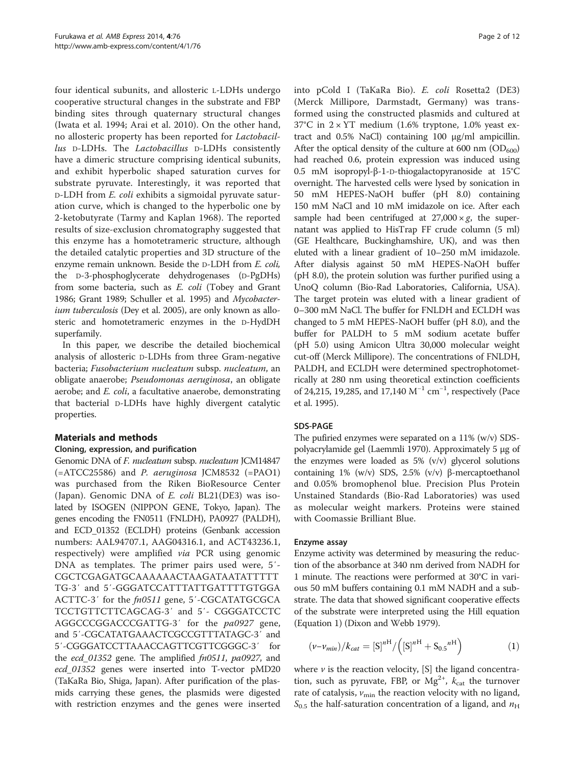<span id="page-1-0"></span>four identical subunits, and allosteric L-LDHs undergo cooperative structural changes in the substrate and FBP binding sites through quaternary structural changes (Iwata et al. [1994;](#page-10-0) Arai et al. [2010](#page-10-0)). On the other hand, no allosteric property has been reported for Lactobacillus D-LDHs. The Lactobacillus D-LDHs consistently have a dimeric structure comprising identical subunits, and exhibit hyperbolic shaped saturation curves for substrate pyruvate. Interestingly, it was reported that D-LDH from E. coli exhibits a sigmoidal pyruvate saturation curve, which is changed to the hyperbolic one by 2-ketobutyrate (Tarmy and Kaplan [1968](#page-11-0)). The reported results of size-exclusion chromatography suggested that this enzyme has a homotetrameric structure, although the detailed catalytic properties and 3D structure of the enzyme remain unknown. Beside the D-LDH from E. coli, the D-3-phosphoglycerate dehydrogenases (D-PgDHs) from some bacteria, such as E. coli (Tobey and Grant [1986;](#page-11-0) Grant [1989;](#page-10-0) Schuller et al. [1995](#page-11-0)) and Mycobacter-ium tuberculosis (Dey et al. [2005](#page-10-0)), are only known as allosteric and homotetrameric enzymes in the D-HydDH superfamily.

In this paper, we describe the detailed biochemical analysis of allosteric D-LDHs from three Gram-negative bacteria; Fusobacterium nucleatum subsp. nucleatum, an obligate anaerobe; Pseudomonas aeruginosa, an obligate aerobe; and *E. coli*, a facultative anaerobe, demonstrating that bacterial D-LDHs have highly divergent catalytic properties.

## Materials and methods

## Cloning, expression, and purification

Genomic DNA of F. nucleatum subsp. nucleatum JCM14847 (=ATCC25586) and P. aeruginosa JCM8532 (=PAO1) was purchased from the Riken BioResource Center (Japan). Genomic DNA of E. coli BL21(DE3) was isolated by ISOGEN (NIPPON GENE, Tokyo, Japan). The genes encoding the FN0511 (FNLDH), PA0927 (PALDH), and ECD\_01352 (ECLDH) proteins (Genbank accession numbers: AAL94707.1, AAG04316.1, and ACT43236.1, respectively) were amplified via PCR using genomic DNA as templates. The primer pairs used were, 5′- CGCTCGAGATGCAAAAAACTAAGATAATATTTTT TG-3′ and 5′-GGGATCCATTTATTGATTTTGTGGA ACTTC-3' for the *fn0511* gene, 5'-CGCATATGCGCA TCCTGTTCTTCAGCAG-3′ and 5′- CGGGATCCTC AGGCCCGGACCCGATTG-3′ for the pa0927 gene, and 5′-CGCATATGAAACTCGCCGTTTATAGC-3′ and 5′-CGGGATCCTTAAACCAGTTCGTTCGGGC-3′ for the *ecd\_01352* gene. The amplified *fn0511*, *pa0927*, and ecd\_01352 genes were inserted into T-vector pMD20 (TaKaRa Bio, Shiga, Japan). After purification of the plasmids carrying these genes, the plasmids were digested with restriction enzymes and the genes were inserted into pCold I (TaKaRa Bio). E. coli Rosetta2 (DE3) (Merck Millipore, Darmstadt, Germany) was transformed using the constructed plasmids and cultured at 37°C in  $2 \times \text{YT}$  medium (1.6% tryptone, 1.0% yeast extract and 0.5% NaCl) containing 100 μg/ml ampicillin. After the optical density of the culture at 600 nm  $OD_{600}$ had reached 0.6, protein expression was induced using 0.5 mM isopropyl-β-1-D-thiogalactopyranoside at 15°C overnight. The harvested cells were lysed by sonication in 50 mM HEPES-NaOH buffer (pH 8.0) containing 150 mM NaCl and 10 mM imidazole on ice. After each sample had been centrifuged at  $27,000 \times g$ , the supernatant was applied to HisTrap FF crude column (5 ml) (GE Healthcare, Buckinghamshire, UK), and was then eluted with a linear gradient of 10–250 mM imidazole. After dialysis against 50 mM HEPES-NaOH buffer (pH 8.0), the protein solution was further purified using a UnoQ column (Bio-Rad Laboratories, California, USA). The target protein was eluted with a linear gradient of 0–300 mM NaCl. The buffer for FNLDH and ECLDH was changed to 5 mM HEPES-NaOH buffer (pH 8.0), and the buffer for PALDH to 5 mM sodium acetate buffer (pH 5.0) using Amicon Ultra 30,000 molecular weight cut-off (Merck Millipore). The concentrations of FNLDH, PALDH, and ECLDH were determined spectrophotometrically at 280 nm using theoretical extinction coefficients of 24,215, 19,285, and 17,140 M<sup>-1</sup> cm<sup>-1</sup>, respectively (Pace et al. [1995](#page-11-0)).

## SDS-PAGE

The pufiried enzymes were separated on a 11% (w/v) SDSpolyacrylamide gel (Laemmli [1970\)](#page-10-0). Approximately 5 μg of the enzymes were loaded as  $5\%$  (v/v) glycerol solutions containing 1% (w/v) SDS, 2.5% (v/v) β-mercaptoethanol and 0.05% bromophenol blue. Precision Plus Protein Unstained Standards (Bio-Rad Laboratories) was used as molecular weight markers. Proteins were stained with Coomassie Brilliant Blue.

## Enzyme assay

Enzyme activity was determined by measuring the reduction of the absorbance at 340 nm derived from NADH for 1 minute. The reactions were performed at 30°C in various 50 mM buffers containing 0.1 mM NADH and a substrate. The data that showed significant cooperative effects of the substrate were interpreted using the Hill equation (Equation 1) (Dixon and Webb [1979\)](#page-10-0).

$$
(\nu - \nu_{min})/k_{cat} = [S]^{\text{nH}} / ([S]^{\text{nH}} + S_{0.5}^{\text{nH}})
$$
 (1)

where  $\nu$  is the reaction velocity, [S] the ligand concentration, such as pyruvate, FBP, or  $Mg^{2+}$ ,  $k_{cat}$  the turnover rate of catalysis,  $v_{\text{min}}$  the reaction velocity with no ligand,  $S_{0.5}$  the half-saturation concentration of a ligand, and  $n_{\rm H}$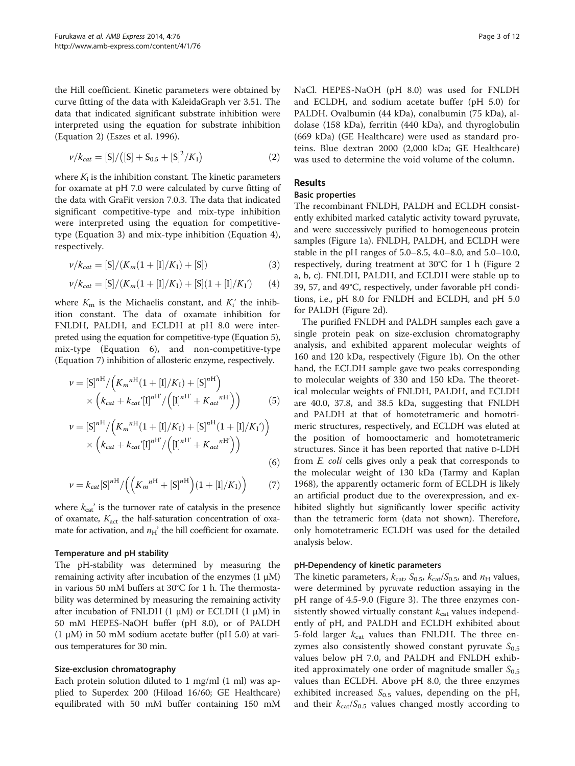the Hill coefficient. Kinetic parameters were obtained by curve fitting of the data with KaleidaGraph ver 3.51. The data that indicated significant substrate inhibition were interpreted using the equation for substrate inhibition (Equation 2) (Eszes et al. [1996\)](#page-10-0).

$$
\nu/k_{cat} = [S]/([S] + S_{0.5} + [S]^2/K_1)
$$
\n(2)

where  $K_i$  is the inhibition constant. The kinetic parameters for oxamate at pH 7.0 were calculated by curve fitting of the data with GraFit version 7.0.3. The data that indicated significant competitive-type and mix-type inhibition were interpreted using the equation for competitivetype (Equation 3) and mix-type inhibition (Equation 4), respectively.

$$
\nu/k_{cat} = [S]/(K_m(1 + [I]/K_I) + [S])
$$
\n(3)

$$
\nu/k_{cat} = [S]/(K_m(1+[I]/K_I) + [S](1+[I]/K_I') \qquad (4)
$$

where  $K<sub>m</sub>$  is the Michaelis constant, and  $K<sub>i</sub>$ <sup>'</sup> the inhibition constant. The data of oxamate inhibition for FNLDH, PALDH, and ECLDH at pH 8.0 were interpreted using the equation for competitive-type (Equation 5), mix-type (Equation 6), and non-competitive-type (Equation 7) inhibition of allosteric enzyme, respectively.

$$
\nu = [S]^{nH} / (K_m^{nH} (1 + [I]/K_I) + [S]^{nH})
$$
  
 
$$
\times (k_{cat} + k_{cat} [I]^{nH} / ([I]^{nH} + K_{act}^{nH})))
$$
 (5)

$$
\nu = [S]^{nH} / (K_m^{nH} (1 + [I]/K_I) + [S]^{nH} (1 + [I]/K_I'))
$$
  
 
$$
\times (k_{cat} + k_{cat} [I]^{nH} / ([I]^{nH} + K_{act}^{nH'})))
$$
(6)

$$
\nu = k_{cat}[S]^{{n}^{H}} / ((K_{m}^{{n}^{H}} + [S]^{{n}^{H}})(1 + [I]/K_{I}))
$$
 (7)

where  $k_{cat}$ ' is the turnover rate of catalysis in the presence of oxamate,  $K_{\text{act}}$  the half-saturation concentration of oxamate for activation, and  $n_H'$  the hill coefficient for oxamate.

## Temperature and pH stability

The pH-stability was determined by measuring the remaining activity after incubation of the enzymes  $(1 \mu M)$ in various 50 mM buffers at 30°C for 1 h. The thermostability was determined by measuring the remaining activity after incubation of FNLDH  $(1 \mu M)$  or ECLDH  $(1 \mu M)$  in 50 mM HEPES-NaOH buffer (pH 8.0), or of PALDH (1  $\mu$ M) in 50 mM sodium acetate buffer (pH 5.0) at various temperatures for 30 min.

#### Size-exclusion chromatography

Each protein solution diluted to 1 mg/ml (1 ml) was applied to Superdex 200 (Hiload 16/60; GE Healthcare) equilibrated with 50 mM buffer containing 150 mM NaCl. HEPES-NaOH (pH 8.0) was used for FNLDH and ECLDH, and sodium acetate buffer (pH 5.0) for PALDH. Ovalbumin (44 kDa), conalbumin (75 kDa), aldolase (158 kDa), ferritin (440 kDa), and thyroglobulin (669 kDa) (GE Healthcare) were used as standard proteins. Blue dextran 2000 (2,000 kDa; GE Healthcare) was used to determine the void volume of the column.

## Results

#### Basic properties

The recombinant FNLDH, PALDH and ECLDH consistently exhibited marked catalytic activity toward pyruvate, and were successively purified to homogeneous protein samples (Figure [1](#page-3-0)a). FNLDH, PALDH, and ECLDH were stable in the pH ranges of 5.0–8.5, 4.0–8.0, and 5.0–10.0, respectively, during treatment at 30°C for 1 h (Figure [2](#page-3-0) a, b, c). FNLDH, PALDH, and ECLDH were stable up to 39, 57, and 49°C, respectively, under favorable pH conditions, i.e., pH 8.0 for FNLDH and ECLDH, and pH 5.0 for PALDH (Figure [2](#page-3-0)d).

The purified FNLDH and PALDH samples each gave a single protein peak on size-exclusion chromatography analysis, and exhibited apparent molecular weights of 160 and 120 kDa, respectively (Figure [1](#page-3-0)b). On the other hand, the ECLDH sample gave two peaks corresponding to molecular weights of 330 and 150 kDa. The theoretical molecular weights of FNLDH, PALDH, and ECLDH are 40.0, 37.8, and 38.5 kDa, suggesting that FNLDH and PALDH at that of homotetrameric and homotrimeric structures, respectively, and ECLDH was eluted at the position of homooctameric and homotetrameric structures. Since it has been reported that native D-LDH from E. coli cells gives only a peak that corresponds to the molecular weight of 130 kDa (Tarmy and Kaplan [1968](#page-11-0)), the apparently octameric form of ECLDH is likely an artificial product due to the overexpression, and exhibited slightly but significantly lower specific activity than the tetrameric form (data not shown). Therefore, only homotetrameric ECLDH was used for the detailed analysis below.

#### pH-Dependency of kinetic parameters

The kinetic parameters,  $k_{\text{cat}}$ ,  $S_{0.5}$ ,  $k_{\text{cat}}/S_{0.5}$ , and  $n_{\text{H}}$  values, were determined by pyruvate reduction assaying in the pH range of 4.5-9.0 (Figure [3\)](#page-4-0). The three enzymes consistently showed virtually constant  $k_{\text{cat}}$  values independently of pH, and PALDH and ECLDH exhibited about 5-fold larger  $k_{\text{cat}}$  values than FNLDH. The three enzymes also consistently showed constant pyruvate  $S_{0.5}$ values below pH 7.0, and PALDH and FNLDH exhibited approximately one order of magnitude smaller  $S_{0.5}$ values than ECLDH. Above pH 8.0, the three enzymes exhibited increased  $S_{0.5}$  values, depending on the pH, and their  $k_{cat}/S_{0.5}$  values changed mostly according to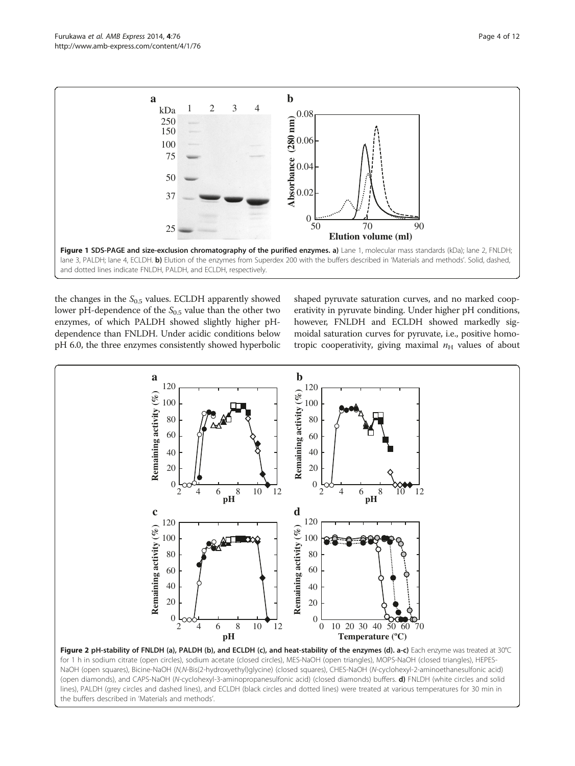<span id="page-3-0"></span>

the changes in the  $S_{0.5}$  values. ECLDH apparently showed lower pH-dependence of the  $S_{0.5}$  value than the other two enzymes, of which PALDH showed slightly higher pHdependence than FNLDH. Under acidic conditions below pH 6.0, the three enzymes consistently showed hyperbolic shaped pyruvate saturation curves, and no marked cooperativity in pyruvate binding. Under higher pH conditions, however, FNLDH and ECLDH showed markedly sigmoidal saturation curves for pyruvate, i.e., positive homotropic cooperativity, giving maximal  $n_H$  values of about



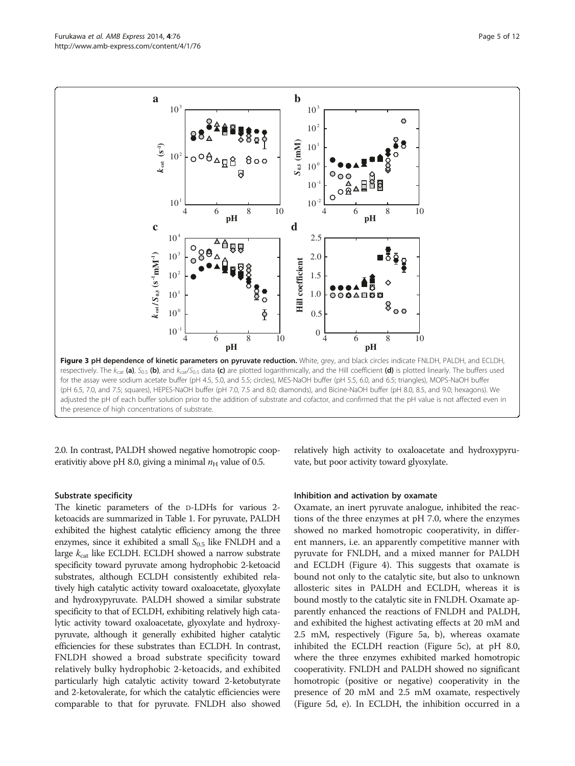<span id="page-4-0"></span>

2.0. In contrast, PALDH showed negative homotropic cooperativitiy above pH 8.0, giving a minimal  $n<sub>H</sub>$  value of 0.5.

#### Substrate specificity

The kinetic parameters of the D-LDHs for various 2 ketoacids are summarized in Table [1](#page-5-0). For pyruvate, PALDH exhibited the highest catalytic efficiency among the three enzymes, since it exhibited a small  $S_{0.5}$  like FNLDH and a large  $k_{\text{cat}}$  like ECLDH. ECLDH showed a narrow substrate specificity toward pyruvate among hydrophobic 2-ketoacid substrates, although ECLDH consistently exhibited relatively high catalytic activity toward oxaloacetate, glyoxylate and hydroxypyruvate. PALDH showed a similar substrate specificity to that of ECLDH, exhibiting relatively high catalytic activity toward oxaloacetate, glyoxylate and hydroxypyruvate, although it generally exhibited higher catalytic efficiencies for these substrates than ECLDH. In contrast, FNLDH showed a broad substrate specificity toward relatively bulky hydrophobic 2-ketoacids, and exhibited particularly high catalytic activity toward 2-ketobutyrate and 2-ketovalerate, for which the catalytic efficiencies were comparable to that for pyruvate. FNLDH also showed relatively high activity to oxaloacetate and hydroxypyruvate, but poor activity toward glyoxylate.

#### Inhibition and activation by oxamate

Oxamate, an inert pyruvate analogue, inhibited the reactions of the three enzymes at pH 7.0, where the enzymes showed no marked homotropic cooperativity, in different manners, i.e. an apparently competitive manner with pyruvate for FNLDH, and a mixed manner for PALDH and ECLDH (Figure [4](#page-6-0)). This suggests that oxamate is bound not only to the catalytic site, but also to unknown allosteric sites in PALDH and ECLDH, whereas it is bound mostly to the catalytic site in FNLDH. Oxamate apparently enhanced the reactions of FNLDH and PALDH, and exhibited the highest activating effects at 20 mM and 2.5 mM, respectively (Figure [5](#page-6-0)a, b), whereas oxamate inhibited the ECLDH reaction (Figure [5](#page-6-0)c), at pH 8.0, where the three enzymes exhibited marked homotropic cooperativity. FNLDH and PALDH showed no significant homotropic (positive or negative) cooperativity in the presence of 20 mM and 2.5 mM oxamate, respectively (Figure [5d](#page-6-0), e). In ECLDH, the inhibition occurred in a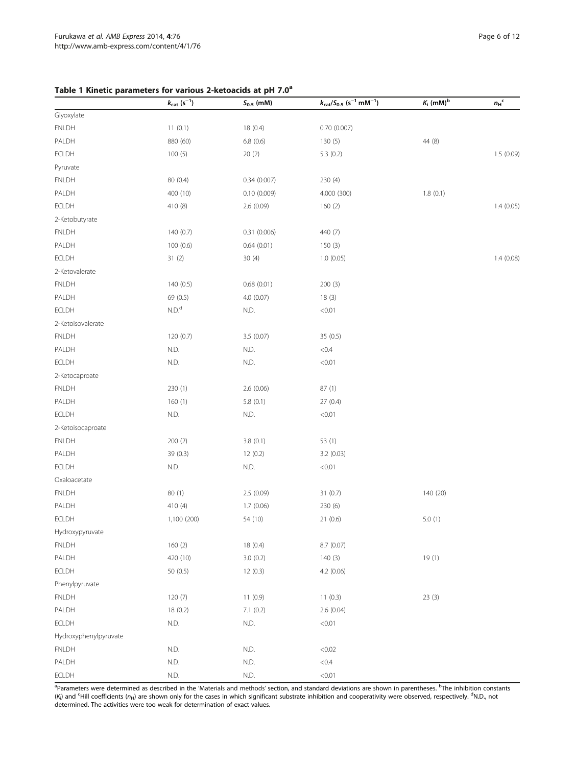## <span id="page-5-0"></span>Table 1 Kinetic parameters for various 2-ketoacids at pH 7.0<sup>a</sup>

|                       | $k_{\mathrm{cat}}\; (\mathrm{s}^{-1})$ | $S_{0.5}$ (mM)           | $k_{\text{cat}}/S_{0.5}$ (s <sup>-1</sup> mM <sup>-1</sup> ) | $K_i$ (mM) <sup>b</sup> | ${n_{\rm H}}^{\rm c}$ |
|-----------------------|----------------------------------------|--------------------------|--------------------------------------------------------------|-------------------------|-----------------------|
| Glyoxylate            |                                        |                          |                                                              |                         |                       |
| <b>FNLDH</b>          | 11(0.1)                                | 18(0.4)                  | 0.70(0.007)                                                  |                         |                       |
| PALDH                 | 880 (60)                               | 6.8(0.6)                 | 130(5)                                                       | 44 (8)                  |                       |
| ECLDH                 | 100(5)                                 | 20(2)                    | 5.3(0.2)                                                     |                         | 1.5(0.09)             |
| Pyruvate              |                                        |                          |                                                              |                         |                       |
| <b>FNLDH</b>          | 80 (0.4)                               | 0.34(0.007)              | 230 (4)                                                      |                         |                       |
| PALDH                 | 400 (10)                               | 0.10(0.009)              | 4,000 (300)                                                  | 1.8(0.1)                |                       |
| ECLDH                 | 410 (8)                                | 2.6(0.09)                | 160(2)                                                       |                         | 1.4(0.05)             |
| 2-Ketobutyrate        |                                        |                          |                                                              |                         |                       |
| <b>FNLDH</b>          | 140 (0.7)                              | 0.31(0.006)              | 440 (7)                                                      |                         |                       |
| PALDH                 | 100(0.6)                               | 0.64(0.01)               | 150(3)                                                       |                         |                       |
| ECLDH                 | 31(2)                                  | 30(4)                    | 1.0(0.05)                                                    |                         | 1.4(0.08)             |
| 2-Ketovalerate        |                                        |                          |                                                              |                         |                       |
| <b>FNLDH</b>          | 140 (0.5)                              | 0.68(0.01)               | 200(3)                                                       |                         |                       |
| PALDH                 | 69 (0.5)                               | 4.0 (0.07)               | 18(3)                                                        |                         |                       |
| ECLDH                 | N.D. <sup>d</sup>                      | N.D.                     | < 0.01                                                       |                         |                       |
| 2-Ketoisovalerate     |                                        |                          |                                                              |                         |                       |
| <b>FNLDH</b>          | 120(0.7)                               | 3.5 (0.07)               | 35(0.5)                                                      |                         |                       |
| PALDH                 | N.D.                                   | N.D.                     | < 0.4                                                        |                         |                       |
| ECLDH                 | N.D.                                   | N.D.                     | < 0.01                                                       |                         |                       |
| 2-Ketocaproate        |                                        |                          |                                                              |                         |                       |
| <b>FNLDH</b>          | 230(1)                                 | 2.6 (0.06)               | 87(1)                                                        |                         |                       |
| PALDH                 | 160(1)                                 | 5.8(0.1)                 | 27(0.4)                                                      |                         |                       |
| ECLDH                 | N.D.                                   | N.D.                     | < 0.01                                                       |                         |                       |
| 2-Ketoisocaproate     |                                        |                          |                                                              |                         |                       |
| <b>FNLDH</b>          | 200(2)                                 | 3.8(0.1)                 | 53 (1)                                                       |                         |                       |
| PALDH                 | 39 (0.3)                               | 12(0.2)                  | 3.2(0.03)                                                    |                         |                       |
| ECLDH                 | N.D.                                   | N.D.                     | < 0.01                                                       |                         |                       |
| Oxaloacetate          |                                        |                          |                                                              |                         |                       |
| <b>FNLDH</b>          | 80(1)                                  | 2.5 (0.09)               | 31(0.7)                                                      | 140 (20)                |                       |
| PALDH                 | 410 (4)                                | 1.7(0.06)                | 230 (6)                                                      |                         |                       |
| ECLDH                 | 1,100 (200)                            | 54 (10)                  | 21(0.6)                                                      | 5.0(1)                  |                       |
| Hydroxypyruvate       |                                        |                          |                                                              |                         |                       |
| <b>FNLDH</b>          | 160(2)                                 | 18(0.4)                  | 8.7 (0.07)                                                   |                         |                       |
| PALDH                 | 420 (10)                               | 3.0(0.2)                 | 140(3)                                                       | 19(1)                   |                       |
| ECLDH                 | 50(0.5)                                | 12(0.3)                  | 4.2(0.06)                                                    |                         |                       |
| Phenylpyruvate        |                                        |                          |                                                              |                         |                       |
| <b>FNLDH</b>          | 120(7)                                 | 11(0.9)                  | 11(0.3)                                                      | 23(3)                   |                       |
| PALDH                 | 18(0.2)                                | 7.1(0.2)                 | 2.6(0.04)                                                    |                         |                       |
| ECLDH                 | N.D.                                   | $\mathsf{N}.\mathsf{D}.$ | < 0.01                                                       |                         |                       |
| Hydroxyphenylpyruvate |                                        |                          |                                                              |                         |                       |
| FNLDH                 | N.D.                                   | N.D.                     | < 0.02                                                       |                         |                       |
| PALDH                 | N.D.                                   | N.D.                     | < 0.4                                                        |                         |                       |
| ECLDH                 | N.D.                                   | $\mathsf{N}.\mathsf{D}.$ | < 0.01                                                       |                         |                       |

<sup>a</sup>Parameters were determined as described in the '[Materials and methods](#page-1-0)' section, and standard deviations are shown in parentheses. <sup>b</sup>The inhibition constants  $(K_i)$  and <sup>c</sup>Hill coefficients (n<sub>H</sub>) are shown only for the cases in which significant substrate inhibition and cooperativity were observed, respectively. <sup>d</sup>N.D., not determined. The activities were too weak for determination of exact values.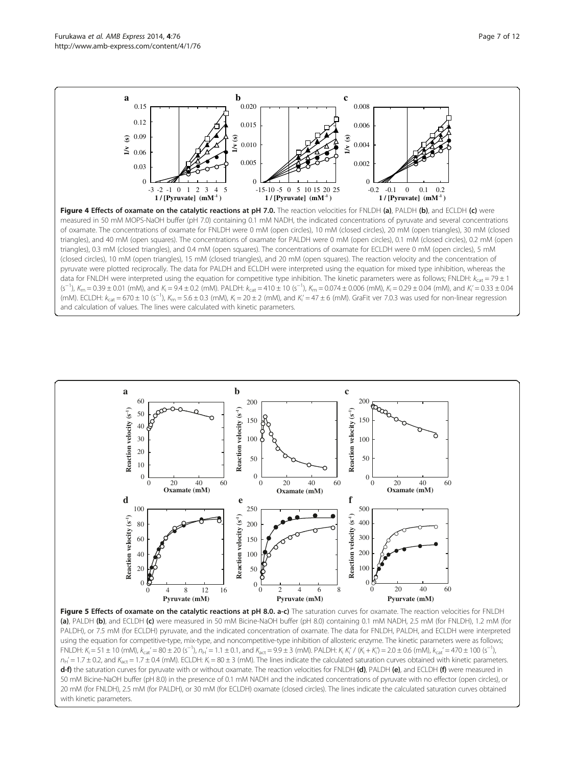<span id="page-6-0"></span>Furukawa et al. AMB Express 2014, 4:76 Page 7 of 12 http://www.amb-express.com/content/4/1/76





Figure 5 Effects of oxamate on the catalytic reactions at pH 8.0. a-c) The saturation curves for oxamate. The reaction velocities for FNLDH (a), PALDH (b), and ECLDH (c) were measured in 50 mM Bicine-NaOH buffer (pH 8.0) containing 0.1 mM NADH, 2.5 mM (for FNLDH), 1.2 mM (for PALDH), or 7.5 mM (for ECLDH) pyruvate, and the indicated concentration of oxamate. The data for FNLDH, PALDH, and ECLDH were interpreted using the equation for competitive-type, mix-type, and noncompetitive-type inhibition of allosteric enzyme. The kinetic parameters were as follows; FNLDH: K<sub>i</sub> = 51 ± 10 (mM), K<sub>cat</sub>' = 80 ± 20 (s<sup>-1</sup>), n<sub>H</sub>' = 1.1 ± 0.1, and K<sub>act</sub> = 9.9 ± 3 (mM). PALDH: K<sub>i</sub> K'<sub>i</sub>' / (K<sub>i</sub> + K'<sub>i</sub>') = 2.0 ± 0.6 (mM), k<sub>cat</sub>' = 470 ± 100 (s<sup>-1</sup>),  $n_H'$  = 1.7 ± 0.2, and  $K_{act}$  = 1.7 ± 0.4 (mM). ECLDH:  $K_i$  = 80 ± 3 (mM). The lines indicate the calculated saturation curves obtained with kinetic parameters. d-f) the saturation curves for pyruvate with or without oxamate. The reaction velocities for FNLDH (d), PALDH (e), and ECLDH (f) were measured in 50 mM Bicine-NaOH buffer (pH 8.0) in the presence of 0.1 mM NADH and the indicated concentrations of pyruvate with no effector (open circles), or 20 mM (for FNLDH), 2.5 mM (for PALDH), or 30 mM (for ECLDH) oxamate (closed circles). The lines indicate the calculated saturation curves obtained with kinetic parameters.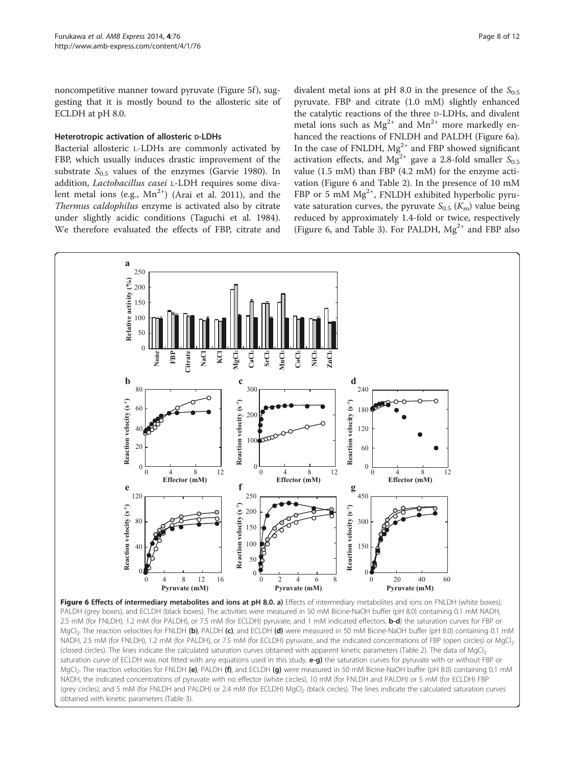<span id="page-7-0"></span>noncompetitive manner toward pyruvate (Figure [5](#page-6-0)f), suggesting that it is mostly bound to the allosteric site of ECLDH at pH 8.0.

#### Heterotropic activation of allosteric D-LDHs

Bacterial allosteric L-LDHs are commonly activated by FBP, which usually induces drastic improvement of the substrate  $S_{0.5}$  values of the enzymes (Garvie [1980\)](#page-10-0). In addition, Lactobacillus casei L-LDH requires some divalent metal ions (e.g.,  $Mn^{2+}$ ) (Arai et al. [2011](#page-10-0)), and the Thermus caldophilus enzyme is activated also by citrate under slightly acidic conditions (Taguchi et al. [1984](#page-11-0)). We therefore evaluated the effects of FBP, citrate and divalent metal ions at pH 8.0 in the presence of the  $S_{0.5}$ pyruvate. FBP and citrate (1.0 mM) slightly enhanced the catalytic reactions of the three D-LDHs, and divalent metal ions such as  $Mg^{2+}$  and  $Mn^{2+}$  more markedly enhanced the reactions of FNLDH and PALDH (Figure 6a). In the case of FNLDH,  $Mg^{2+}$  and FBP showed significant activation effects, and  $Mg^{2+}$  gave a 2.8-fold smaller  $S_{0.5}$ value (1.5 mM) than FBP (4.2 mM) for the enzyme activation (Figure 6 and Table [2\)](#page-8-0). In the presence of 10 mM FBP or 5 mM  $Mg^{2+}$ , FNLDH exhibited hyperbolic pyruvate saturation curves, the pyruvate  $S_{0.5}$  ( $K_{\rm m}$ ) value being reduced by approximately 1.4-fold or twice, respectively (Figure 6, and Table [3](#page-8-0)). For PALDH,  $Mg^{2+}$  and FBP also



Figure 6 Effects of intermediary metabolites and ions at pH 8.0. a) Effects of intermediary metabolites and ions on FNLDH (white boxes), PALDH (grey boxes), and ECLDH (black boxes). The activities were measured in 50 mM Bicine-NaOH buffer (pH 8.0) containing 0.1 mM NADH, 2.5 mM (for FNLDH), 1.2 mM (for PALDH), or 7.5 mM (for ECLDH) pyruvate, and 1 mM indicated effectors. b-d) the saturation curves for FBP or MgCl<sub>2</sub>. The reaction velocities for FNLDH (b), PALDH (c), and ECLDH (d) were measured in 50 mM Bicine-NaOH buffer (pH 8.0) containing 0.1 mM NADH, 2.5 mM (for FNLDH), 1.2 mM (for PALDH), or 7.5 mM (for ECLDH) pyruvate, and the indicated concentrations of FBP (open circles) or MgCl2 (closed circles). The lines indicate the calculated saturation curves obtained with apparent kinetic parameters (Table [2\)](#page-8-0). The data of MgCl2 saturation curve of ECLDH was not fitted with any equations used in this study. e-g) the saturation curves for pyruvate with or without FBP or MgCl<sub>2</sub>. The reaction velocities for FNLDH (e), PALDH (f), and ECLDH (g) were measured in 50 mM Bicine-NaOH buffer (pH 8.0) containing 0.1 mM NADH, the indicated concentrations of pyruvate with no effector (white circles), 10 mM (for FNLDH and PALDH) or 5 mM (for ECLDH) FBP (grey circles), and 5 mM (for FNLDH and PALDH) or 2.4 mM (for ECLDH) MgCl<sub>2</sub> (black circles). The lines indicate the calculated saturation curves obtained with kinetic parameters (Table [3](#page-8-0)).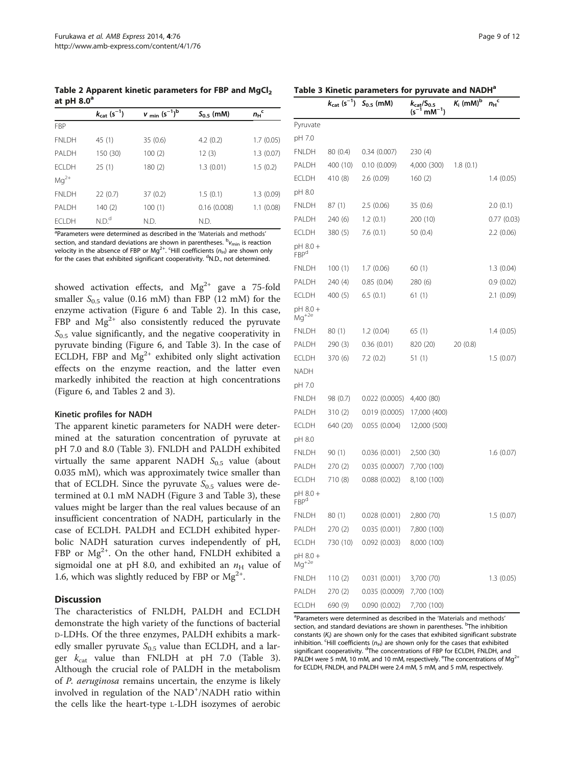<span id="page-8-0"></span>Table 2 Apparent kinetic parameters for FBP and MgCl<sub>2</sub> at pH  $8.0<sup>a</sup>$ 

|               | $k_{\text{cat}}$ (s <sup>-1</sup> ) | $v_{min}$ (s <sup>-1</sup> ) <sup>b</sup> | $S_{0.5}$ (mM) | $n_{\rm H}$ <sup>c</sup> |
|---------------|-------------------------------------|-------------------------------------------|----------------|--------------------------|
| <b>FBP</b>    |                                     |                                           |                |                          |
| <b>FNLDH</b>  | 45 (1)                              | 35(0.6)                                   | 4.2(0.2)       | 1.7(0.05)                |
| PAI DH        | 150 (30)                            | 100(2)                                    | 12(3)          | 1.3(0.07)                |
| <b>FCI DH</b> | 25(1)                               | 180 (2)                                   | 1.3(0.01)      | 1.5(0.2)                 |
| $Mg^{2+}$     |                                     |                                           |                |                          |
| <b>FNLDH</b>  | 22(0.7)                             | 37(0.2)                                   | 1.5(0.1)       | 1.3(0.09)                |
| PAI DH        | 140(2)                              | 100(1)                                    | 0.16(0.008)    | 1.1(0.08)                |
| <b>FCI DH</b> | N.D. <sup>d</sup>                   | N.D.                                      | N.D.           |                          |

<sup>a</sup>Parameters were determined as described in the '[Materials and methods](#page-1-0)' section, and standard deviations are shown in parentheses.  $^{\rm b}$   $\rm v_{min}$  is reaction velocity in the absence of FBP or Mg<sup>2+</sup>. <sup>c</sup>Hill coefficients ( $n_{\rm H}$ ) are shown only for the cases that exhibited significant cooperativity. <sup>d</sup>N.D., not determined.

showed activation effects, and  $Mg^{2+}$  gave a 75-fold smaller  $S_{0.5}$  value (0.16 mM) than FBP (12 mM) for the enzyme activation (Figure [6](#page-7-0) and Table 2). In this case, FBP and  $Mg^{2+}$  also consistently reduced the pyruvate  $S_{0.5}$  value significantly, and the negative cooperativity in pyruvate binding (Figure [6,](#page-7-0) and Table 3). In the case of ECLDH, FBP and  $Mg^{2+}$  exhibited only slight activation effects on the enzyme reaction, and the latter even markedly inhibited the reaction at high concentrations (Figure [6](#page-7-0), and Tables 2 and 3).

#### Kinetic profiles for NADH

The apparent kinetic parameters for NADH were determined at the saturation concentration of pyruvate at pH 7.0 and 8.0 (Table 3). FNLDH and PALDH exhibited virtually the same apparent NADH  $S_{0.5}$  value (about 0.035 mM), which was approximately twice smaller than that of ECLDH. Since the pyruvate  $S_{0.5}$  values were determined at 0.1 mM NADH (Figure [3](#page-4-0) and Table 3), these values might be larger than the real values because of an insufficient concentration of NADH, particularly in the case of ECLDH. PALDH and ECLDH exhibited hyperbolic NADH saturation curves independently of pH, FBP or  $Mg^{2+}$ . On the other hand, FNLDH exhibited a sigmoidal one at pH 8.0, and exhibited an  $n_H$  value of 1.6, which was slightly reduced by FBP or  $Mg^{2+}$ .

#### **Discussion**

The characteristics of FNLDH, PALDH and ECLDH demonstrate the high variety of the functions of bacterial D-LDHs. Of the three enzymes, PALDH exhibits a markedly smaller pyruvate  $S_{0.5}$  value than ECLDH, and a larger  $k_{\text{cat}}$  value than FNLDH at pH 7.0 (Table 3). Although the crucial role of PALDH in the metabolism of P. aeruginosa remains uncertain, the enzyme is likely involved in regulation of the NAD<sup>+</sup>/NADH ratio within the cells like the heart-type L-LDH isozymes of aerobic

#### Table 3 Kinetic parameters for pyruvate and NADH<sup>a</sup>

|                              | $k_{\text{cat}}$ (s <sup>-1</sup> ) | $S_{0.5}$ (mM) | $k_{\text{cat}}/S_{0.5}$<br>(s <sup>-1</sup> mM <sup>-1</sup> ) | $K_i$ (mM) <sup>b</sup> | $n_{\rm H}$ <sup>c</sup> |
|------------------------------|-------------------------------------|----------------|-----------------------------------------------------------------|-------------------------|--------------------------|
| Pyruvate                     |                                     |                |                                                                 |                         |                          |
| pH 7.0                       |                                     |                |                                                                 |                         |                          |
| FNLDH                        | 80 (0.4)                            | 0.34(0.007)    | 230 (4)                                                         |                         |                          |
| PALDH                        | 400 (10)                            | 0.10(0.009)    | 4,000 (300)                                                     | 1.8(0.1)                |                          |
| <b>ECLDH</b>                 | 410 (8)                             | 2.6 (0.09)     | 160(2)                                                          |                         | 1.4 (0.05)               |
| pH 8.0                       |                                     |                |                                                                 |                         |                          |
| <b>FNLDH</b>                 | 87(1)                               | 2.5 (0.06)     | 35 (0.6)                                                        |                         | 2.0(0.1)                 |
| PALDH                        | 240 (6)                             | 1.2(0.1)       | 200 (10)                                                        |                         | 0.77(0.03)               |
| ECLDH                        | 380 (5)                             | 7.6 (0.1)      | 50 (0.4)                                                        |                         | 2.2(0.06)                |
| pH 8.0 +<br>FBP <sup>d</sup> |                                     |                |                                                                 |                         |                          |
| <b>FNLDH</b>                 | 100(1)                              | 1.7(0.06)      | 60(1)                                                           |                         | 1.3(0.04)                |
| PALDH                        | 240 (4)                             | 0.85(0.04)     | 280 (6)                                                         |                         | 0.9(0.02)                |
| <b>ECLDH</b>                 | 400(5)                              | 6.5(0.1)       | 61 (1)                                                          |                         | 2.1(0.09)                |
| pH 8.0 +<br>$Mg^{+2e}$       |                                     |                |                                                                 |                         |                          |
| <b>FNLDH</b>                 | 80(1)                               | 1.2(0.04)      | 65 (1)                                                          |                         | 1.4 (0.05)               |
| PALDH                        | 290 (3)                             | 0.36(0.01)     | 820 (20)                                                        | 20 (0.8)                |                          |
| ECLDH                        | 370 (6)                             | 7.2 (0.2)      | 51 (1)                                                          |                         | 1.5(0.07)                |
| NADH                         |                                     |                |                                                                 |                         |                          |
| pH 7.0                       |                                     |                |                                                                 |                         |                          |
| <b>FNLDH</b>                 | 98 (0.7)                            | 0.022(0.0005)  | 4,400 (80)                                                      |                         |                          |
| PALDH                        | 310(2)                              | 0.019(0.0005)  | 17,000 (400)                                                    |                         |                          |
| <b>ECLDH</b>                 | 640 (20)                            | 0.055(0.004)   | 12,000 (500)                                                    |                         |                          |
| pH 8.0                       |                                     |                |                                                                 |                         |                          |
| FNLDH                        | 90(1)                               | 0.036(0.001)   | 2,500 (30)                                                      |                         | 1.6(0.07)                |
| PALDH                        | 270 (2)                             | 0.035(0.0007)  | 7,700 (100)                                                     |                         |                          |
| <b>ECLDH</b>                 | 710 (8)                             | 0.088(0.002)   | 8,100 (100)                                                     |                         |                          |
| pH 8.0 +<br>FBP <sup>d</sup> |                                     |                |                                                                 |                         |                          |
| <b>FNLDH</b>                 | 80(1)                               | 0.028(0.001)   | 2,800 (70)                                                      |                         | 1.5(0.07)                |
| PALDH                        | 270 (2)                             | 0.035(0.001)   | 7,800 (100)                                                     |                         |                          |
| <b>ECLDH</b>                 | 730 (10)                            | 0.092(0.003)   | 8,000 (100)                                                     |                         |                          |
| pH 8.0 +<br>$Mg^{+2e}$       |                                     |                |                                                                 |                         |                          |
| <b>FNLDH</b>                 | 110(2)                              | 0.031(0.001)   | 3,700 (70)                                                      |                         | 1.3(0.05)                |
| PALDH                        | 270(2)                              | 0.035 (0.0009) | 7,700 (100)                                                     |                         |                          |
| <b>ECLDH</b>                 | 690 (9)                             | 0.090 (0.002)  | 7,700 (100)                                                     |                         |                          |

<sup>a</sup>Parameters were determined as described in the '[Materials and methods](#page-1-0)' section, and standard deviations are shown in parentheses. <sup>b</sup>The inhibition constants  $(K_i)$  are shown only for the cases that exhibited significant substrate inhibition. <sup>c</sup>Hill coefficients ( $n_H$ ) are shown only for the cases that exhibited significant cooperativity. <sup>d</sup>The concentrations of FBP for ECLDH, FNLDH, and PALDH were 5 mM, 10 mM, and 10 mM, respectively. <sup>e</sup>The concentrations of Mg<sup>2+</sup> for ECLDH, FNLDH, and PALDH were 2.4 mM, 5 mM, and 5 mM, respectively.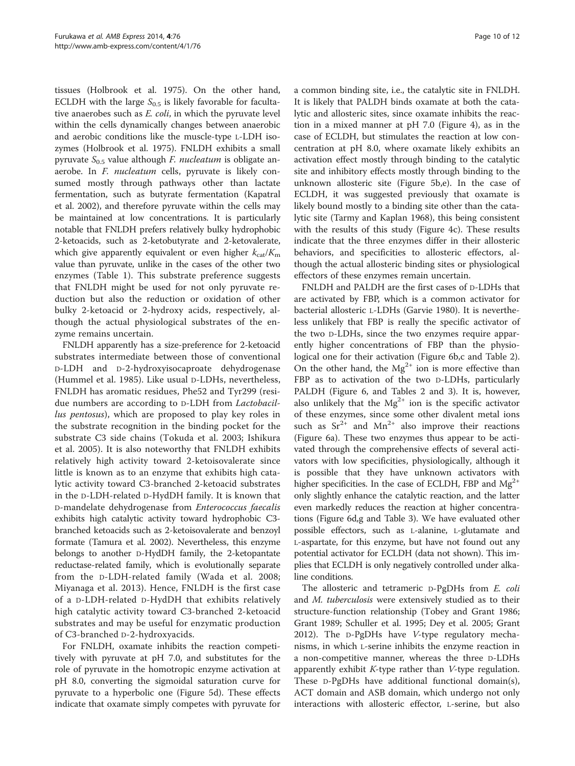tissues (Holbrook et al. [1975\)](#page-10-0). On the other hand, ECLDH with the large  $S_{0.5}$  is likely favorable for facultative anaerobes such as E. coli, in which the pyruvate level within the cells dynamically changes between anaerobic and aerobic conditions like the muscle-type L-LDH isozymes (Holbrook et al. [1975\)](#page-10-0). FNLDH exhibits a small pyruvate  $S_{0.5}$  value although *F. nucleatum* is obligate anaerobe. In F. nucleatum cells, pyruvate is likely consumed mostly through pathways other than lactate fermentation, such as butyrate fermentation (Kapatral et al. [2002\)](#page-10-0), and therefore pyruvate within the cells may be maintained at low concentrations. It is particularly notable that FNLDH prefers relatively bulky hydrophobic 2-ketoacids, such as 2-ketobutyrate and 2-ketovalerate, which give apparently equivalent or even higher  $k_{\text{cat}}/K_{\text{m}}$ value than pyruvate, unlike in the cases of the other two enzymes (Table [1](#page-5-0)). This substrate preference suggests that FNLDH might be used for not only pyruvate reduction but also the reduction or oxidation of other bulky 2-ketoacid or 2-hydroxy acids, respectively, although the actual physiological substrates of the enzyme remains uncertain.

FNLDH apparently has a size-preference for 2-ketoacid substrates intermediate between those of conventional D-LDH and D-2-hydroxyisocaproate dehydrogenase (Hummel et al. [1985](#page-10-0)). Like usual D-LDHs, nevertheless, FNLDH has aromatic residues, Phe52 and Tyr299 (residue numbers are according to D-LDH from Lactobacillus pentosus), which are proposed to play key roles in the substrate recognition in the binding pocket for the substrate C3 side chains (Tokuda et al. [2003](#page-11-0); Ishikura et al. [2005\)](#page-10-0). It is also noteworthy that FNLDH exhibits relatively high activity toward 2-ketoisovalerate since little is known as to an enzyme that exhibits high catalytic activity toward C3-branched 2-ketoacid substrates in the D-LDH-related D-HydDH family. It is known that D-mandelate dehydrogenase from Enterococcus faecalis exhibits high catalytic activity toward hydrophobic C3 branched ketoacids such as 2-ketoisovalerate and benzoyl formate (Tamura et al. [2002\)](#page-11-0). Nevertheless, this enzyme belongs to another D-HydDH family, the 2-ketopantate reductase-related family, which is evolutionally separate from the D-LDH-related family (Wada et al. [2008](#page-11-0); Miyanaga et al. [2013\)](#page-11-0). Hence, FNLDH is the first case of a D-LDH-related D-HydDH that exhibits relatively high catalytic activity toward C3-branched 2-ketoacid substrates and may be useful for enzymatic production of C3-branched D-2-hydroxyacids.

For FNLDH, oxamate inhibits the reaction competitively with pyruvate at pH 7.0, and substitutes for the role of pyruvate in the homotropic enzyme activation at pH 8.0, converting the sigmoidal saturation curve for pyruvate to a hyperbolic one (Figure [5](#page-6-0)d). These effects indicate that oxamate simply competes with pyruvate for

a common binding site, i.e., the catalytic site in FNLDH. It is likely that PALDH binds oxamate at both the catalytic and allosteric sites, since oxamate inhibits the reaction in a mixed manner at pH 7.0 (Figure [4](#page-6-0)), as in the case of ECLDH, but stimulates the reaction at low concentration at pH 8.0, where oxamate likely exhibits an activation effect mostly through binding to the catalytic site and inhibitory effects mostly through binding to the unknown allosteric site (Figure [5](#page-6-0)b,e). In the case of ECLDH, it was suggested previously that oxamate is likely bound mostly to a binding site other than the catalytic site (Tarmy and Kaplan [1968](#page-11-0)), this being consistent with the results of this study (Figure [4c](#page-6-0)). These results indicate that the three enzymes differ in their allosteric behaviors, and specificities to allosteric effectors, although the actual allosteric binding sites or physiological effectors of these enzymes remain uncertain.

FNLDH and PALDH are the first cases of D-LDHs that are activated by FBP, which is a common activator for bacterial allosteric L-LDHs (Garvie [1980](#page-10-0)). It is nevertheless unlikely that FBP is really the specific activator of the two D-LDHs, since the two enzymes require apparently higher concentrations of FBP than the physiological one for their activation (Figure [6b](#page-7-0),c and Table [2](#page-8-0)). On the other hand, the  $Mg^{2+}$  ion is more effective than FBP as to activation of the two D-LDHs, particularly PALDH (Figure [6,](#page-7-0) and Tables [2](#page-8-0) and [3](#page-8-0)). It is, however, also unlikely that the  $Mg^{2+}$  ion is the specific activator of these enzymes, since some other divalent metal ions such as  $Sr^{2+}$  and  $Mn^{2+}$  also improve their reactions (Figure [6](#page-7-0)a). These two enzymes thus appear to be activated through the comprehensive effects of several activators with low specificities, physiologically, although it is possible that they have unknown activators with higher specificities. In the case of ECLDH, FBP and  $Mg^{2+}$ only slightly enhance the catalytic reaction, and the latter even markedly reduces the reaction at higher concentrations (Figure [6](#page-7-0)d,g and Table [3](#page-8-0)). We have evaluated other possible effectors, such as L-alanine, L-glutamate and L-aspartate, for this enzyme, but have not found out any potential activator for ECLDH (data not shown). This implies that ECLDH is only negatively controlled under alkaline conditions.

The allosteric and tetrameric D-PgDHs from E. coli and M. tuberculosis were extensively studied as to their structure-function relationship (Tobey and Grant [1986](#page-11-0); Grant [1989](#page-10-0); Schuller et al. [1995](#page-11-0); Dey et al. [2005;](#page-10-0) Grant [2012](#page-10-0)). The D-PgDHs have V-type regulatory mechanisms, in which L-serine inhibits the enzyme reaction in a non-competitive manner, whereas the three D-LDHs apparently exhibit  $K$ -type rather than  $V$ -type regulation. These D-PgDHs have additional functional domain(s), ACT domain and ASB domain, which undergo not only interactions with allosteric effector, L-serine, but also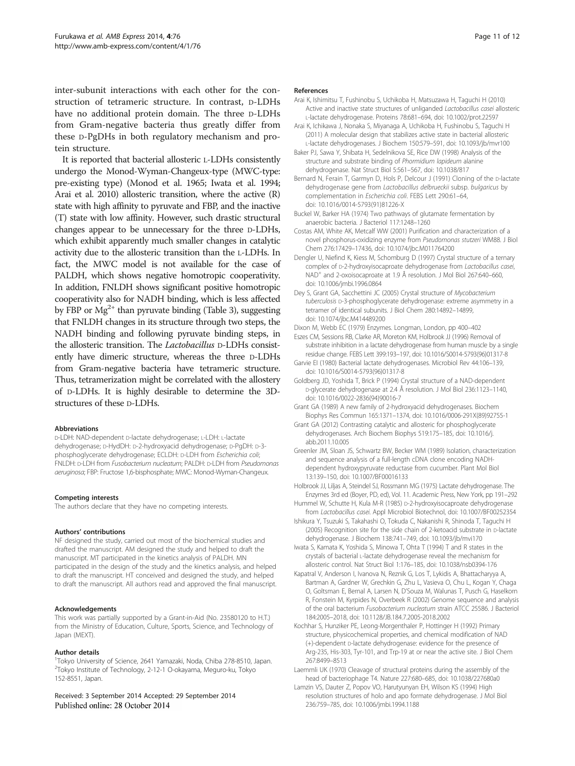<span id="page-10-0"></span>inter-subunit interactions with each other for the construction of tetrameric structure. In contrast, D-LDHs have no additional protein domain. The three D-LDHs from Gram-negative bacteria thus greatly differ from these D-PgDHs in both regulatory mechanism and protein structure.

It is reported that bacterial allosteric L-LDHs consistently undergo the Monod-Wyman-Changeux-type (MWC-type: pre-existing type) (Monod et al. [1965;](#page-11-0) Iwata et al. 1994; Arai et al. 2010) allosteric transition, where the active (R) state with high affinity to pyruvate and FBP, and the inactive (T) state with low affinity. However, such drastic structural changes appear to be unnecessary for the three D-LDHs, which exhibit apparently much smaller changes in catalytic activity due to the allosteric transition than the L-LDHs. In fact, the MWC model is not available for the case of PALDH, which shows negative homotropic cooperativity. In addition, FNLDH shows significant positive homotropic cooperativity also for NADH binding, which is less affected by FBP or  $Mg^{2+}$  than pyruvate binding (Table [3](#page-8-0)), suggesting that FNLDH changes in its structure through two steps, the NADH binding and following pyruvate binding steps, in the allosteric transition. The Lactobacillus D-LDHs consistently have dimeric structure, whereas the three D-LDHs from Gram-negative bacteria have tetrameric structure. Thus, tetramerization might be correlated with the allostery of D-LDHs. It is highly desirable to determine the 3Dstructures of these D-LDHs.

#### Abbreviations

D-LDH: NAD-dependent D-lactate dehydrogenase; L-LDH: L-lactate dehydrogenase; D-HydDH: D-2-hydroxyacid dehydrogenase; D-PgDH: D-3 phosphoglycerate dehydrogenase; ECLDH: D-LDH from Escherichia coli; FNLDH: D-LDH from Fusobacterium nucleatum; PALDH: D-LDH from Pseudomonas aeruginosa; FBP: Fructose 1,6-bisphosphate; MWC: Monod-Wyman-Changeux.

#### Competing interests

The authors declare that they have no competing interests.

#### Authors' contributions

NF designed the study, carried out most of the biochemical studies and drafted the manuscript. AM designed the study and helped to draft the manuscript. MT participated in the kinetics analysis of PALDH. MN participated in the design of the study and the kinetics analysis, and helped to draft the manuscript. HT conceived and designed the study, and helped to draft the manuscript. All authors read and approved the final manuscript.

#### Acknowledgements

This work was partially supported by a Grant-in-Aid (No. 23580120 to H.T.) from the Ministry of Education, Culture, Sports, Science, and Technology of Japan (MEXT).

#### Author details

<sup>1</sup>Tokyo University of Science, 2641 Yamazaki, Noda, Chiba 278-8510, Japan. 2 Tokyo Institute of Technology, 2-12-1 O-okayama, Meguro-ku, Tokyo 152-8551, Japan.

Received: 3 September 2014 Accepted: 29 September 2014 Published online: 28 October 2014

#### References

- Arai K, Ishimitsu T, Fushinobu S, Uchikoba H, Matsuzawa H, Taguchi H (2010) Active and inactive state structures of unliganded Lactobacillus casei allosteric L-lactate dehydrogenase. Proteins 78:681–694, doi: 10.1002/prot.22597
- Arai K, Ichikawa J, Nonaka S, Miyanaga A, Uchikoba H, Fushinobu S, Taguchi H (2011) A molecular design that stabilizes active state in bacterial allosteric L-lactate dehydrogenases. J Biochem 150:579–591, doi: 10.1093/jb/mvr100
- Baker PJ, Sawa Y, Shibata H, Sedelnikova SE, Rice DW (1998) Analysis of the structure and substrate binding of Phormidium lapideum alanine dehydrogenase. Nat Struct Biol 5:561–567, doi: 10.1038/817
- Bernard N, Ferain T, Garmyn D, Hols P, Delcour J (1991) Cloning of the D-lactate dehydrogenase gene from Lactobacillus delbrueckii subsp. bulgaricus by complementation in Escherichia coli. FEBS Lett 290:61–64, doi: 10.1016/0014-5793(91)81226-X
- Buckel W, Barker HA (1974) Two pathways of glutamate fermentation by anaerobic bacteria. J Bacteriol 117:1248–1260
- Costas AM, White AK, Metcalf WW (2001) Purification and characterization of a novel phosphorus-oxidizing enzyme from Pseudomonas stutzeri WM88. J Biol Chem 276:17429–17436, doi: 10.1074/jbc.M011764200
- Dengler U, Niefind K, Kiess M, Schomburg D (1997) Crystal structure of a ternary complex of D-2-hydroxyisocaproate dehydrogenase from Lactobacillus casei, NAD+ and 2-oxoisocaproate at 1.9 Å resolution. J Mol Biol 267:640–660, doi: 10.1006/jmbi.1996.0864
- Dey S, Grant GA, Sacchettini JC (2005) Crystal structure of Mycobacterium tuberculosis D-3-phosphoglycerate dehydrogenase: extreme asymmetry in a tetramer of identical subunits. J Biol Chem 280:14892–14899, doi: 10.1074/jbc.M414489200

Dixon M, Webb EC (1979) Enzymes. Longman, London, pp 400–402

- Eszes CM, Sessions RB, Clarke AR, Moreton KM, Holbrook JJ (1996) Removal of substrate inhibition in a lactate dehydrogenase from human muscle by a single residue change. FEBS Lett 399:193–197, doi: 10.1016/S0014-5793(96)01317-8
- Garvie EI (1980) Bacterial lactate dehydrogenases. Microbiol Rev 44:106–139, doi: 10.1016/S0014-5793(96)01317-8
- Goldberg JD, Yoshida T, Brick P (1994) Crystal structure of a NAD-dependent D-glycerate dehydrogenase at 2.4 Å resolution. J Mol Biol 236:1123–1140, doi: 10.1016/0022-2836(94)90016-7
- Grant GA (1989) A new family of 2-hydroxyacid dehydrogenases. Biochem Biophys Res Commun 165:1371–1374, doi: 10.1016/0006-291X(89)92755-1
- Grant GA (2012) Contrasting catalytic and allosteric for phosphoglycerate dehydrogenases. Arch Biochem Biophys 519:175–185, doi: 10.1016/j. abb.2011.10.005
- Greenler JM, Sloan JS, Schwartz BW, Becker WM (1989) Isolation, characterization and sequence analysis of a full-length cDNA clone encoding NADHdependent hydroxypyruvate reductase from cucumber. Plant Mol Biol 13:139–150, doi: 10.1007/BF00016133

Holbrook JJ, Liljas A, Steindel SJ, Rossmann MG (1975) Lactate dehydrogenase. The Enzymes 3rd ed (Boyer, PD, ed), Vol. 11. Academic Press, New York, pp 191–292

- Hummel W, Schutte H, Kula M-R (1985) D-2-hydroxyisocaproate dehydrogenase from Lactobacillus casei. Appl Microbiol Biotechnol, doi: 10.1007/BF00252354
- Ishikura Y, Tsuzuki S, Takahashi O, Tokuda C, Nakanishi R, Shinoda T, Taguchi H (2005) Recognition site for the side chain of 2-ketoacid substrate in D-lactate dehydrogenase. J Biochem 138:741–749, doi: 10.1093/jb/mvi170

Iwata S, Kamata K, Yoshida S, Minowa T, Ohta T (1994) T and R states in the crystals of bacterial L-lactate dehydrogenase reveal the mechanism for allosteric control. Nat Struct Biol 1:176–185, doi: 10.1038/nsb0394-176

- Kapatral V, Anderson I, Ivanova N, Reznik G, Los T, Lykidis A, Bhattacharyya A, Bartman A, Gardner W, Grechkin G, Zhu L, Vasieva O, Chu L, Kogan Y, Chaga O, Goltsman E, Bernal A, Larsen N, D'Souza M, Walunas T, Pusch G, Haselkorn R, Fonstein M, Kyrpides N, Overbeek R (2002) Genome sequence and analysis of the oral bacterium Fusobacterium nucleatum strain ATCC 25586. J Bacteriol 184:2005–2018, doi: 10.1128/JB.184.7.2005-2018.2002
- Kochhar S, Hunziker PE, Leong-Morgenthaler P, Hottinger H (1992) Primary structure, physicochemical properties, and chemical modification of NAD (+)-dependent D-lactate dehydrogenase: evidence for the presence of Arg-235, His-303, Tyr-101, and Trp-19 at or near the active site. J Biol Chem 267:8499–8513
- Laemmli UK (1970) Cleavage of structural proteins during the assembly of the head of bacteriophage T4. Nature 227:680–685, doi: 10.1038/227680a0
- Lamzin VS, Dauter Z, Popov VO, Harutyunyan EH, Wilson KS (1994) High resolution structures of holo and apo formate dehydrogenase. J Mol Biol 236:759–785, doi: 10.1006/jmbi.1994.1188